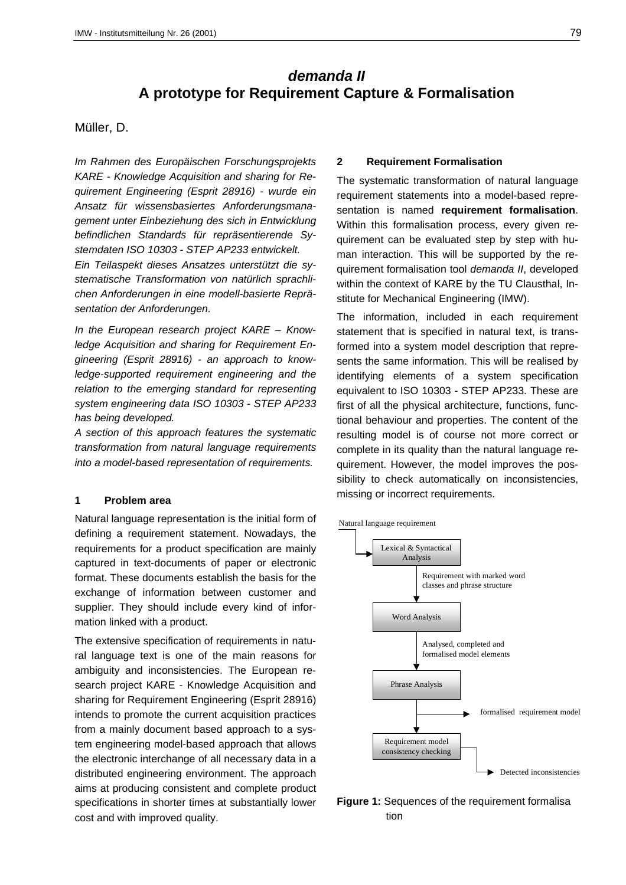# *demanda II* **A prototype for Requirement Capture & Formalisation**

### Müller, D.

*Im Rahmen des Europäischen Forschungsprojekts KARE - Knowledge Acquisition and sharing for Requirement Engineering (Esprit 28916) - wurde ein Ansatz für wissensbasiertes Anforderungsmanagement unter Einbeziehung des sich in Entwicklung befindlichen Standards für repräsentierende Systemdaten ISO 10303 - STEP AP233 entwickelt.*

*Ein Teilaspekt dieses Ansatzes unterstützt die systematische Transformation von natürlich sprachlichen Anforderungen in eine modell-basierte Repräsentation der Anforderungen.*

*In the European research project KARE – Knowledge Acquisition and sharing for Requirement Engineering (Esprit 28916) - an approach to knowledge-supported requirement engineering and the relation to the emerging standard for representing system engineering data ISO 10303 - STEP AP233 has being developed.*

*A section of this approach features the systematic transformation from natural language requirements into a model-based representation of requirements.*

### **1 Problem area**

Natural language representation is the initial form of defining a requirement statement. Nowadays, the requirements for a product specification are mainly captured in text-documents of paper or electronic format. These documents establish the basis for the exchange of information between customer and supplier. They should include every kind of information linked with a product.

The extensive specification of requirements in natural language text is one of the main reasons for ambiguity and inconsistencies. The European research project KARE - Knowledge Acquisition and sharing for Requirement Engineering (Esprit 28916) intends to promote the current acquisition practices from a mainly document based approach to a system engineering model-based approach that allows the electronic interchange of all necessary data in a distributed engineering environment. The approach aims at producing consistent and complete product specifications in shorter times at substantially lower cost and with improved quality.

### **2 Requirement Formalisation**

The systematic transformation of natural language requirement statements into a model-based representation is named **requirement formalisation**. Within this formalisation process, every given requirement can be evaluated step by step with human interaction. This will be supported by the requirement formalisation tool *demanda II*, developed within the context of KARE by the TU Clausthal, Institute for Mechanical Engineering (IMW).

The information, included in each requirement statement that is specified in natural text, is transformed into a system model description that represents the same information. This will be realised by identifying elements of a system specification equivalent to ISO 10303 - STEP AP233. These are first of all the physical architecture, functions, functional behaviour and properties. The content of the resulting model is of course not more correct or complete in its quality than the natural language requirement. However, the model improves the possibility to check automatically on inconsistencies, missing or incorrect requirements.



**Figure 1:** Sequences of the requirement formalisa tion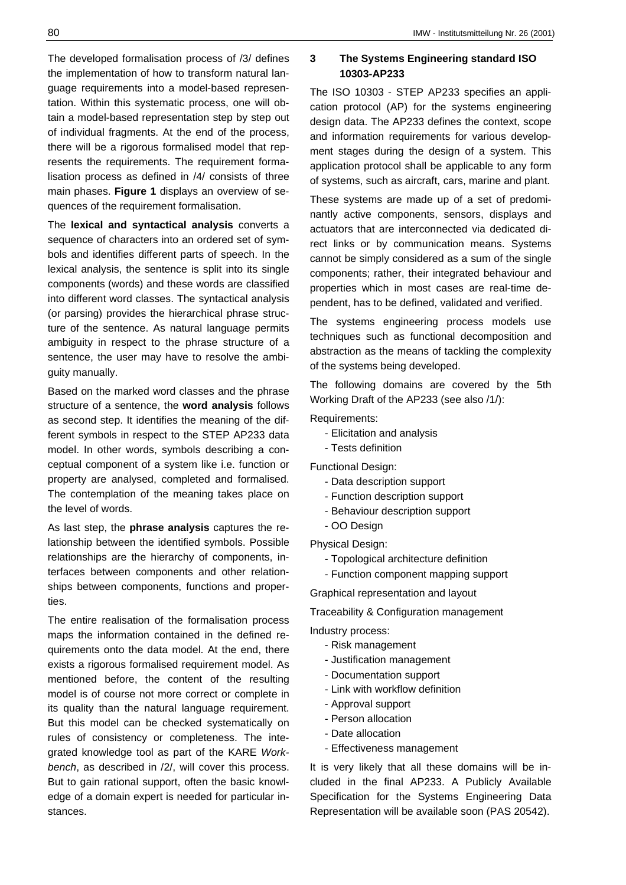The developed formalisation process of /3/ defines the implementation of how to transform natural language requirements into a model-based representation. Within this systematic process, one will obtain a model-based representation step by step out of individual fragments. At the end of the process, there will be a rigorous formalised model that represents the requirements. The requirement formalisation process as defined in /4/ consists of three main phases. **Figure 1** displays an overview of sequences of the requirement formalisation.

The **lexical and syntactical analysis** converts a sequence of characters into an ordered set of symbols and identifies different parts of speech. In the lexical analysis, the sentence is split into its single components (words) and these words are classified into different word classes. The syntactical analysis (or parsing) provides the hierarchical phrase structure of the sentence. As natural language permits ambiguity in respect to the phrase structure of a sentence, the user may have to resolve the ambiguity manually.

Based on the marked word classes and the phrase structure of a sentence, the **word analysis** follows as second step. It identifies the meaning of the different symbols in respect to the STEP AP233 data model. In other words, symbols describing a conceptual component of a system like i.e. function or property are analysed, completed and formalised. The contemplation of the meaning takes place on the level of words.

As last step, the **phrase analysis** captures the relationship between the identified symbols. Possible relationships are the hierarchy of components, interfaces between components and other relationships between components, functions and properties.

The entire realisation of the formalisation process maps the information contained in the defined requirements onto the data model. At the end, there exists a rigorous formalised requirement model. As mentioned before, the content of the resulting model is of course not more correct or complete in its quality than the natural language requirement. But this model can be checked systematically on rules of consistency or completeness. The integrated knowledge tool as part of the KARE *Workbench*, as described in /2/, will cover this process. But to gain rational support, often the basic knowledge of a domain expert is needed for particular instances.

# **3 The Systems Engineering standard ISO 10303-AP233**

The ISO 10303 - STEP AP233 specifies an application protocol (AP) for the systems engineering design data. The AP233 defines the context, scope and information requirements for various development stages during the design of a system. This application protocol shall be applicable to any form of systems, such as aircraft, cars, marine and plant.

These systems are made up of a set of predominantly active components, sensors, displays and actuators that are interconnected via dedicated direct links or by communication means. Systems cannot be simply considered as a sum of the single components; rather, their integrated behaviour and properties which in most cases are real-time dependent, has to be defined, validated and verified.

The systems engineering process models use techniques such as functional decomposition and abstraction as the means of tackling the complexity of the systems being developed.

The following domains are covered by the 5th Working Draft of the AP233 (see also /1/):

Requirements:

- Elicitation and analysis
- Tests definition

Functional Design:

- Data description support
- Function description support
- Behaviour description support
- OO Design
- Physical Design:
	- Topological architecture definition
	- Function component mapping support

Graphical representation and layout

Traceability & Configuration management

Industry process:

- Risk management
- Justification management
- Documentation support
- Link with workflow definition
- Approval support
- Person allocation
- Date allocation
- Effectiveness management

It is very likely that all these domains will be included in the final AP233. A Publicly Available Specification for the Systems Engineering Data Representation will be available soon (PAS 20542).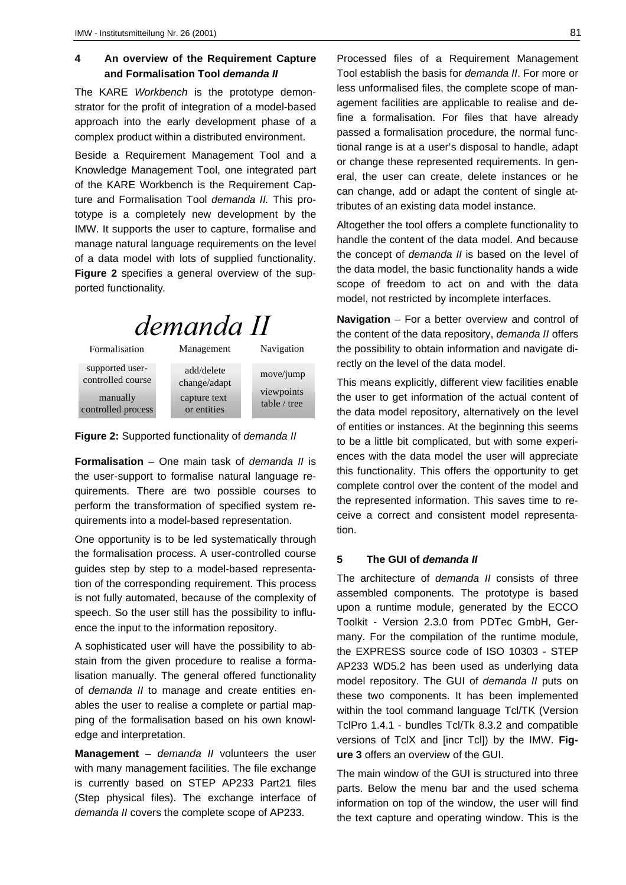# **4 An overview of the Requirement Capture and Formalisation Tool** *demanda II*

The KARE *Workbench* is the prototype demonstrator for the profit of integration of a model-based approach into the early development phase of a complex product within a distributed environment.

Beside a Requirement Management Tool and a Knowledge Management Tool, one integrated part of the KARE Workbench is the Requirement Capture and Formalisation Tool *demanda II.* This prototype is a completely new development by the IMW. It supports the user to capture, formalise and manage natural language requirements on the level of a data model with lots of supplied functionality. **Figure 2** specifies a general overview of the supported functionality*.*

# demanda II

Formalisation Management Navigation

viewpoints table / tree

move/jump

supported usercontrolled course manually controlled process

add/delete change/adapt capture text or entities

**Figure 2:** Supported functionality of *demanda II*

**Formalisation** – One main task of *demanda II* is the user-support to formalise natural language requirements. There are two possible courses to perform the transformation of specified system requirements into a model-based representation.

One opportunity is to be led systematically through the formalisation process. A user-controlled course guides step by step to a model-based representation of the corresponding requirement. This process is not fully automated, because of the complexity of speech. So the user still has the possibility to influence the input to the information repository.

A sophisticated user will have the possibility to abstain from the given procedure to realise a formalisation manually. The general offered functionality of *demanda II* to manage and create entities enables the user to realise a complete or partial mapping of the formalisation based on his own knowledge and interpretation.

**Management** – *demanda II* volunteers the user with many management facilities. The file exchange is currently based on STEP AP233 Part21 files (Step physical files). The exchange interface of *demanda II* covers the complete scope of AP233.

Processed files of a Requirement Management Tool establish the basis for *demanda II*. For more or less unformalised files, the complete scope of management facilities are applicable to realise and define a formalisation. For files that have already passed a formalisation procedure, the normal functional range is at a user's disposal to handle, adapt or change these represented requirements. In general, the user can create, delete instances or he can change, add or adapt the content of single attributes of an existing data model instance.

Altogether the tool offers a complete functionality to handle the content of the data model. And because the concept of *demanda II* is based on the level of the data model, the basic functionality hands a wide scope of freedom to act on and with the data model, not restricted by incomplete interfaces.

**Navigation** – For a better overview and control of the content of the data repository, *demanda II* offers the possibility to obtain information and navigate directly on the level of the data model.

This means explicitly, different view facilities enable the user to get information of the actual content of the data model repository, alternatively on the level of entities or instances. At the beginning this seems to be a little bit complicated, but with some experiences with the data model the user will appreciate this functionality. This offers the opportunity to get complete control over the content of the model and the represented information. This saves time to receive a correct and consistent model representation.

## **5 The GUI of** *demanda II*

The architecture of *demanda II* consists of three assembled components. The prototype is based upon a runtime module, generated by the ECCO Toolkit - Version 2.3.0 from PDTec GmbH, Germany. For the compilation of the runtime module, the EXPRESS source code of ISO 10303 - STEP AP233 WD5.2 has been used as underlying data model repository. The GUI of *demanda II* puts on these two components. It has been implemented within the tool command language Tcl/TK (Version TclPro 1.4.1 - bundles Tcl/Tk 8.3.2 and compatible versions of TclX and [incr Tcl]) by the IMW. **Figure 3** offers an overview of the GUI.

The main window of the GUI is structured into three parts. Below the menu bar and the used schema information on top of the window, the user will find the text capture and operating window. This is the